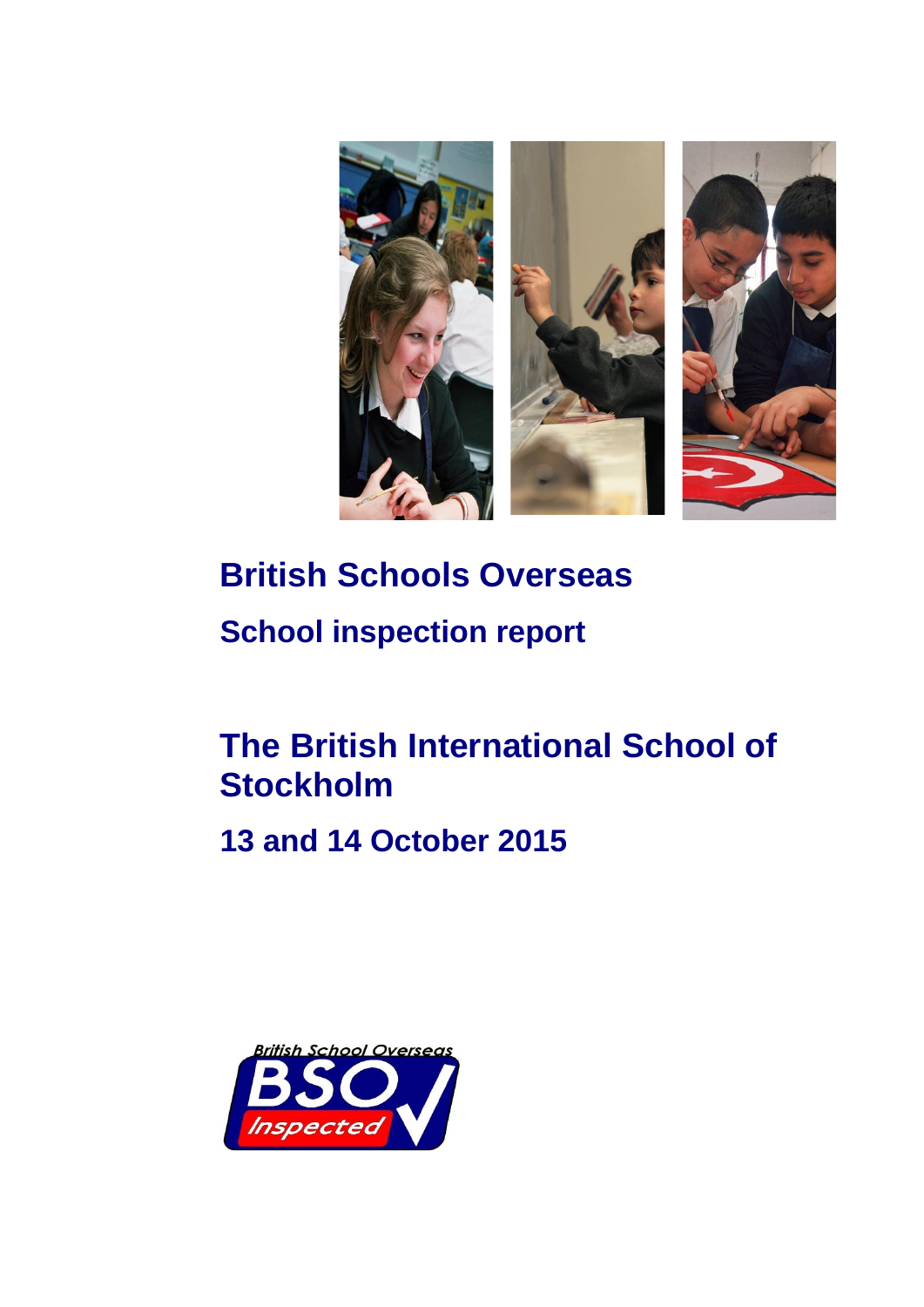

# **British Schools Overseas School inspection report**

# **The British International School of Stockholm**

**13 and 14 October 2015**

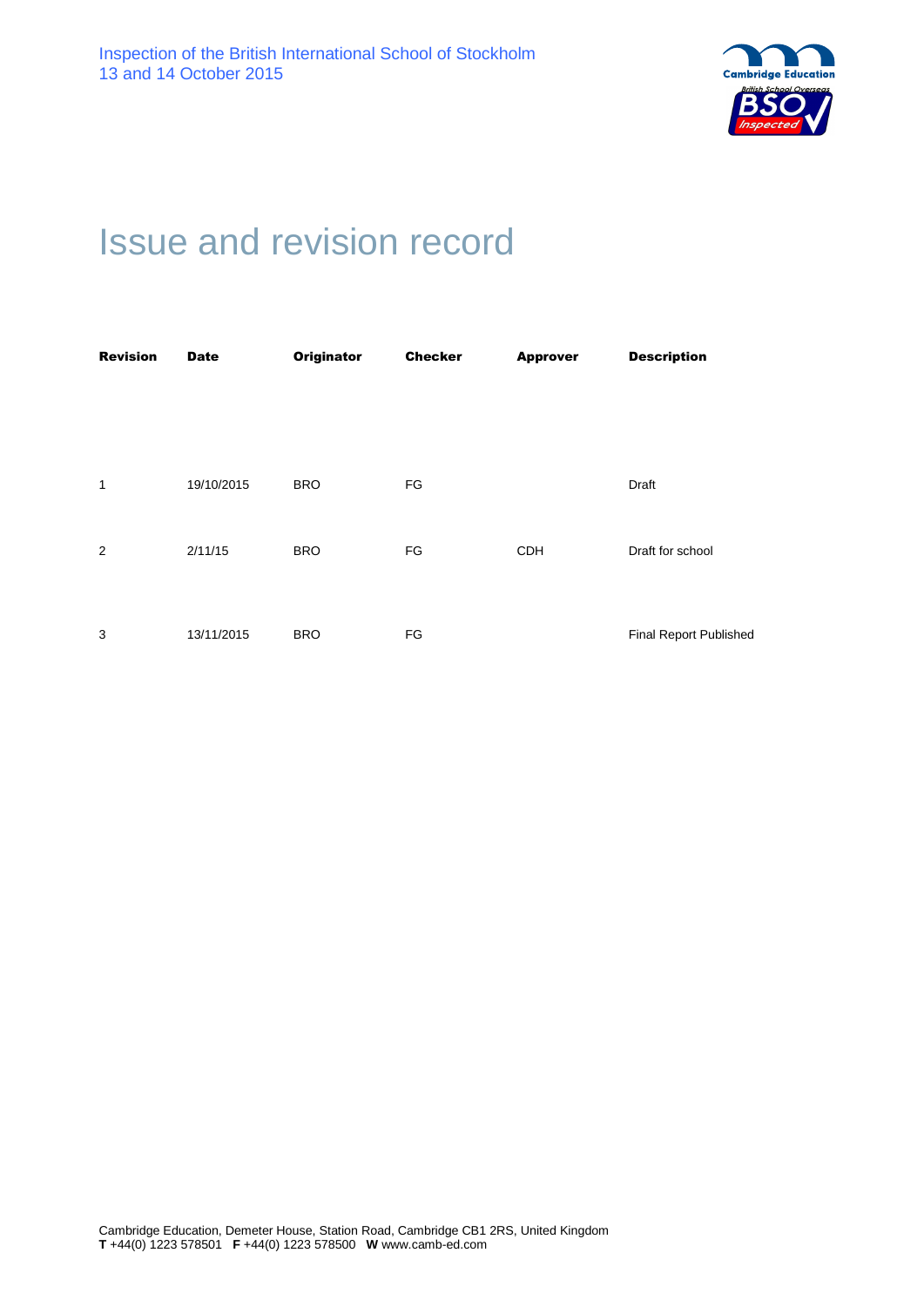

# Issue and revision record

| <b>Revision</b> | <b>Date</b> | <b>Originator</b> | <b>Checker</b> | <b>Approver</b> | <b>Description</b>     |
|-----------------|-------------|-------------------|----------------|-----------------|------------------------|
|                 |             |                   |                |                 |                        |
|                 |             |                   |                |                 |                        |
|                 |             |                   |                |                 |                        |
| $\mathbf{1}$    | 19/10/2015  | <b>BRO</b>        | FG             |                 | Draft                  |
|                 |             |                   |                |                 |                        |
| 2               | 2/11/15     | <b>BRO</b>        | FG             | <b>CDH</b>      | Draft for school       |
|                 |             |                   |                |                 |                        |
|                 |             |                   |                |                 |                        |
| 3               | 13/11/2015  | <b>BRO</b>        | FG             |                 | Final Report Published |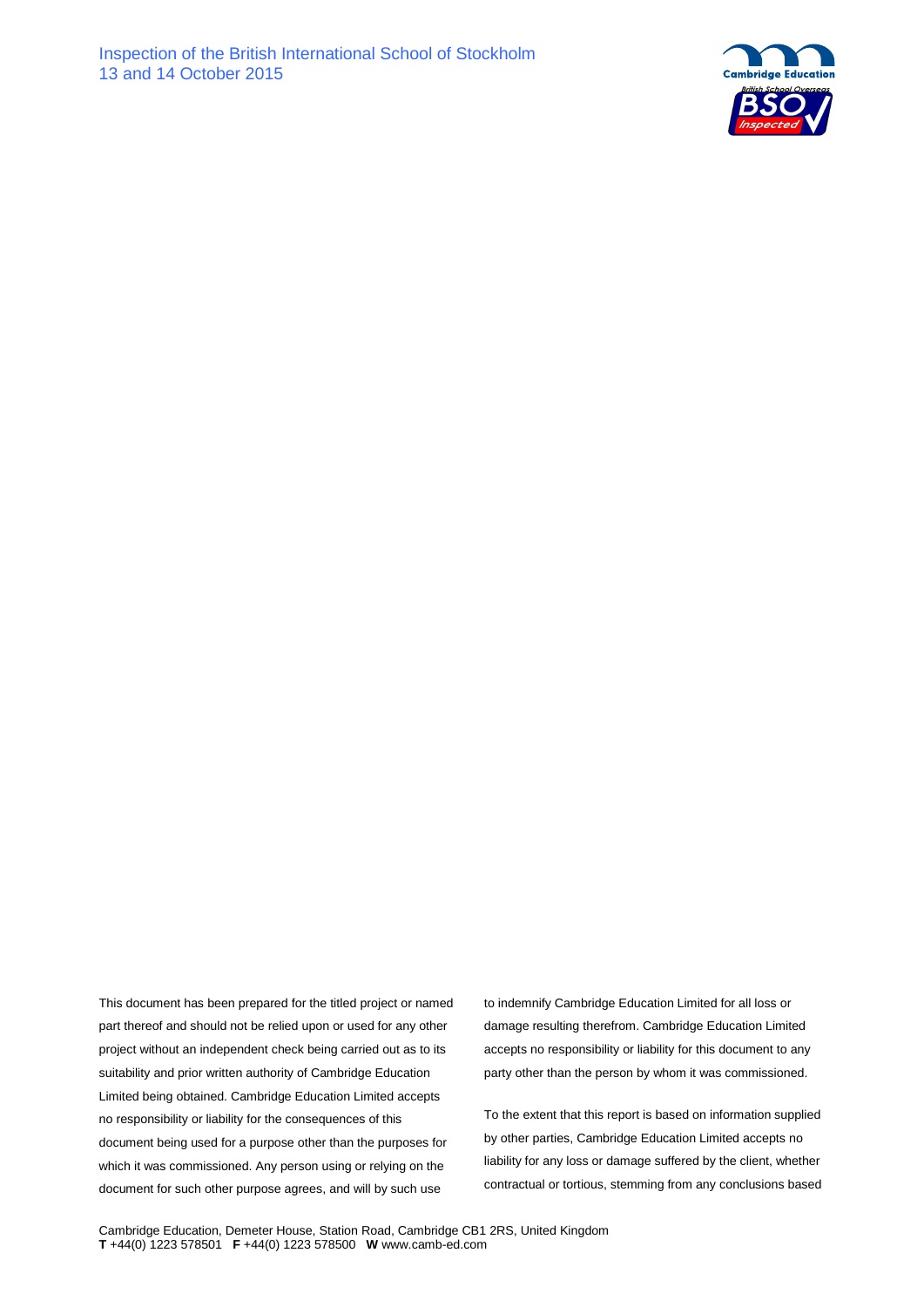

This document has been prepared for the titled project or named part thereof and should not be relied upon or used for any other project without an independent check being carried out as to its suitability and prior written authority of Cambridge Education Limited being obtained. Cambridge Education Limited accepts no responsibility or liability for the consequences of this document being used for a purpose other than the purposes for which it was commissioned. Any person using or relying on the document for such other purpose agrees, and will by such use

to indemnify Cambridge Education Limited for all loss or damage resulting therefrom. Cambridge Education Limited accepts no responsibility or liability for this document to any party other than the person by whom it was commissioned.

To the extent that this report is based on information supplied by other parties, Cambridge Education Limited accepts no liability for any loss or damage suffered by the client, whether contractual or tortious, stemming from any conclusions based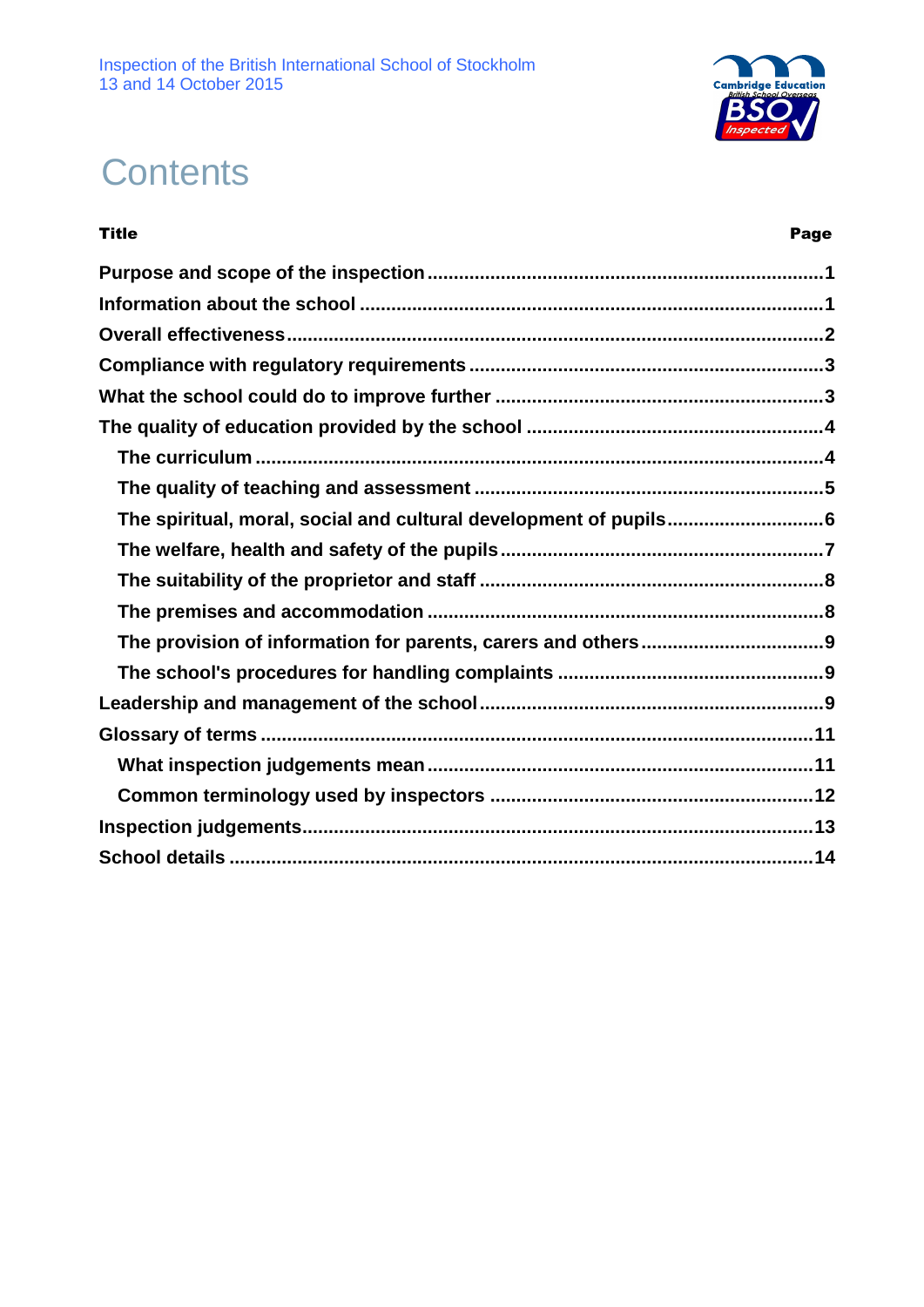

# **Contents**

| <b>Title</b>                                                     | Page |
|------------------------------------------------------------------|------|
|                                                                  |      |
|                                                                  |      |
|                                                                  |      |
|                                                                  |      |
|                                                                  |      |
|                                                                  |      |
|                                                                  |      |
|                                                                  |      |
| The spiritual, moral, social and cultural development of pupils6 |      |
|                                                                  |      |
|                                                                  |      |
|                                                                  |      |
|                                                                  |      |
|                                                                  |      |
|                                                                  |      |
|                                                                  |      |
|                                                                  |      |
|                                                                  |      |
|                                                                  |      |
|                                                                  |      |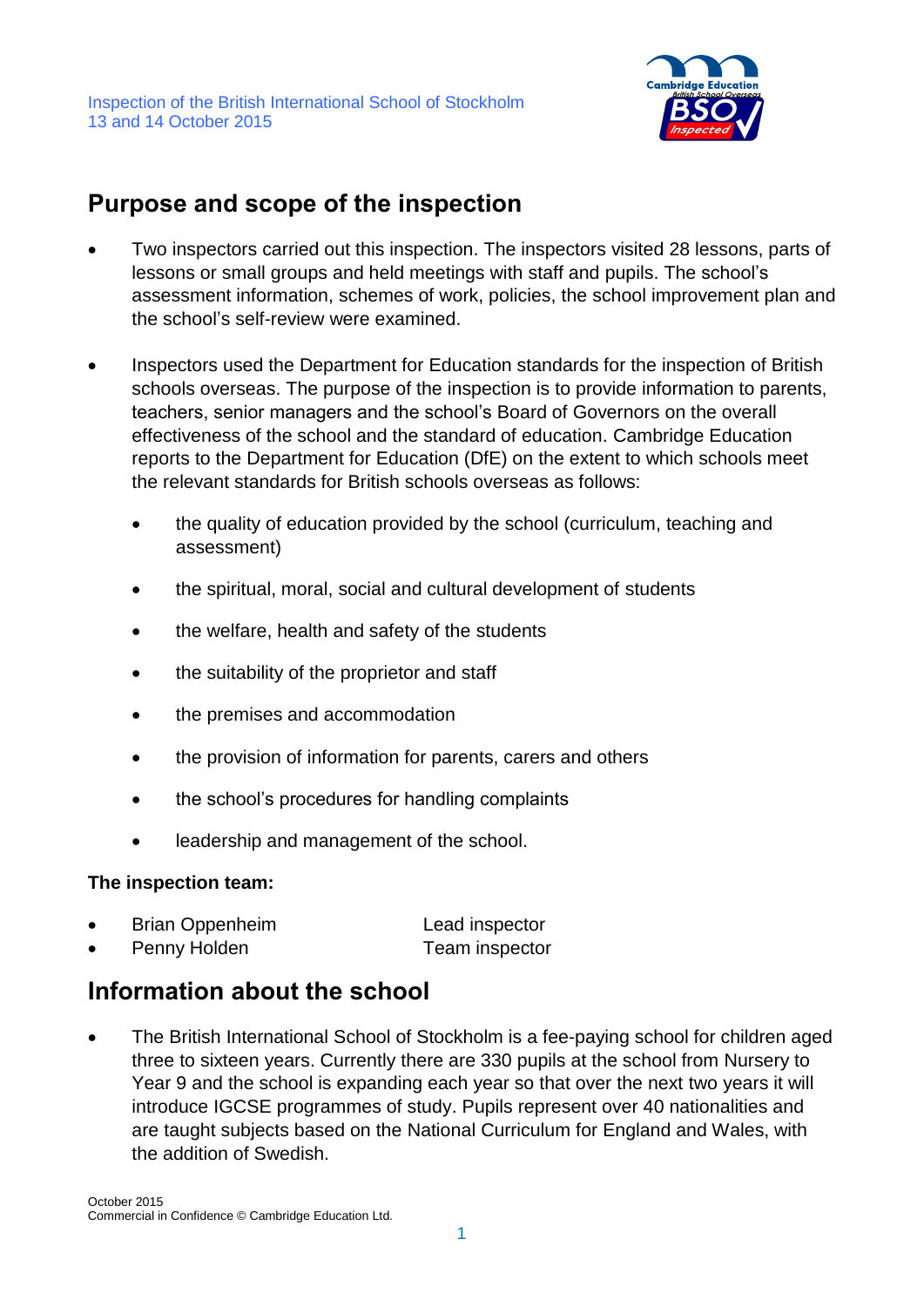

## **Purpose and scope of the inspection**

- Two inspectors carried out this inspection. The inspectors visited 28 lessons, parts of lessons or small groups and held meetings with staff and pupils. The school's assessment information, schemes of work, policies, the school improvement plan and the school's self-review were examined.
- Inspectors used the Department for Education standards for the inspection of British schools overseas. The purpose of the inspection is to provide information to parents, teachers, senior managers and the school's Board of Governors on the overall effectiveness of the school and the standard of education. Cambridge Education reports to the Department for Education (DfE) on the extent to which schools meet the relevant standards for British schools overseas as follows:
	- the quality of education provided by the school (curriculum, teaching and assessment)
	- the spiritual, moral, social and cultural development of students
	- the welfare, health and safety of the students
	- the suitability of the proprietor and staff
	- the premises and accommodation
	- the provision of information for parents, carers and others
	- the school's procedures for handling complaints
	- leadership and management of the school.

#### **The inspection team:**

| <b>Brian Oppenheim</b> | Lead inspector |
|------------------------|----------------|
| Penny Holden           | Team inspector |

# **Information about the school**

 The British International School of Stockholm is a fee-paying school for children aged three to sixteen years. Currently there are 330 pupils at the school from Nursery to Year 9 and the school is expanding each year so that over the next two years it will introduce IGCSE programmes of study. Pupils represent over 40 nationalities and are taught subjects based on the National Curriculum for England and Wales, with the addition of Swedish.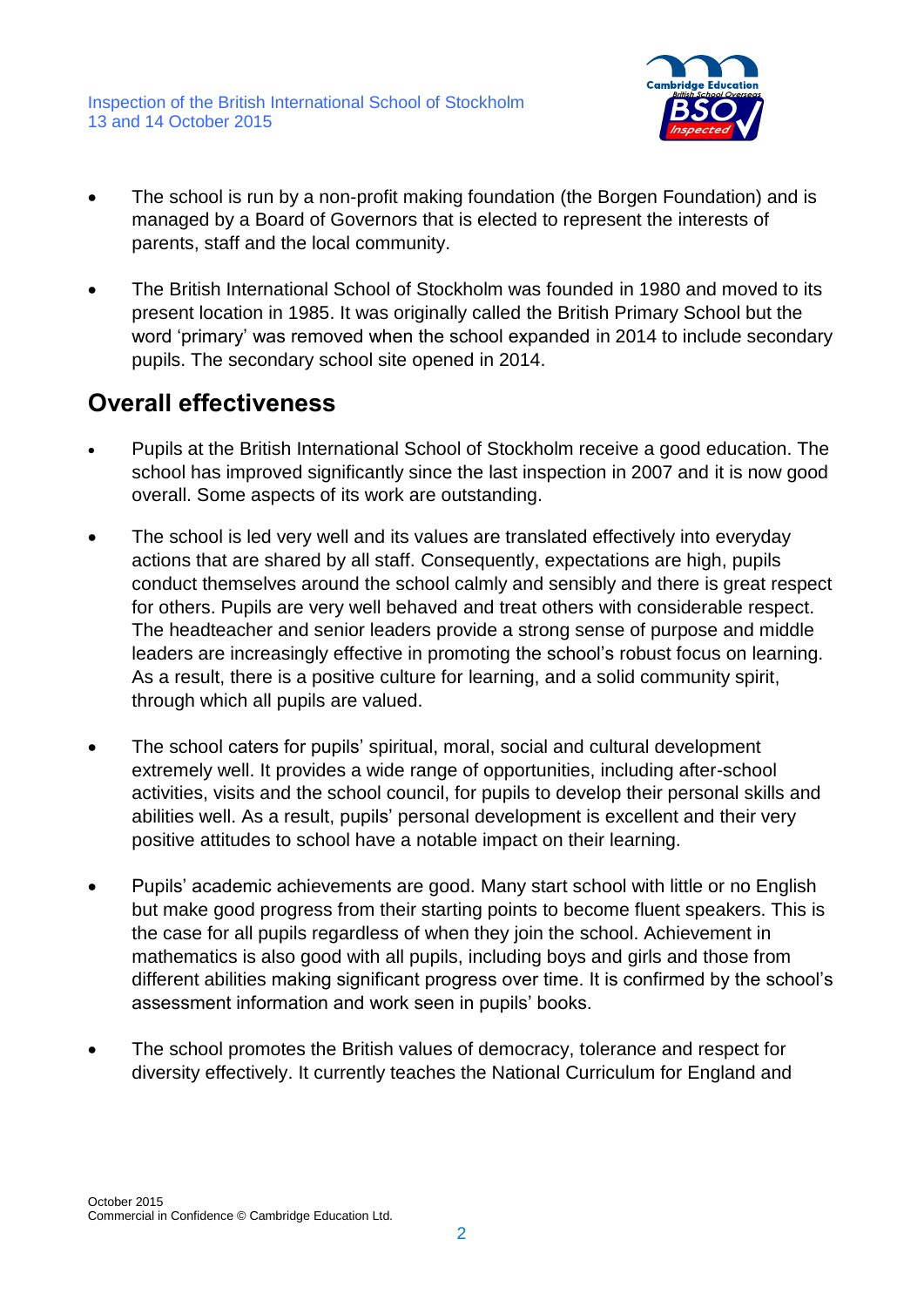

- The school is run by a non-profit making foundation (the Borgen Foundation) and is managed by a Board of Governors that is elected to represent the interests of parents, staff and the local community.
- The British International School of Stockholm was founded in 1980 and moved to its present location in 1985. It was originally called the British Primary School but the word 'primary' was removed when the school expanded in 2014 to include secondary pupils. The secondary school site opened in 2014.

## **Overall effectiveness**

- Pupils at the British International School of Stockholm receive a good education. The school has improved significantly since the last inspection in 2007 and it is now good overall. Some aspects of its work are outstanding.
- The school is led very well and its values are translated effectively into everyday actions that are shared by all staff. Consequently, expectations are high, pupils conduct themselves around the school calmly and sensibly and there is great respect for others. Pupils are very well behaved and treat others with considerable respect. The headteacher and senior leaders provide a strong sense of purpose and middle leaders are increasingly effective in promoting the school's robust focus on learning. As a result, there is a positive culture for learning, and a solid community spirit, through which all pupils are valued.
- The school caters for pupils' spiritual, moral, social and cultural development extremely well. It provides a wide range of opportunities, including after-school activities, visits and the school council, for pupils to develop their personal skills and abilities well. As a result, pupils' personal development is excellent and their very positive attitudes to school have a notable impact on their learning.
- Pupils' academic achievements are good. Many start school with little or no English but make good progress from their starting points to become fluent speakers. This is the case for all pupils regardless of when they join the school. Achievement in mathematics is also good with all pupils, including boys and girls and those from different abilities making significant progress over time. It is confirmed by the school's assessment information and work seen in pupils' books.
- The school promotes the British values of democracy, tolerance and respect for diversity effectively. It currently teaches the National Curriculum for England and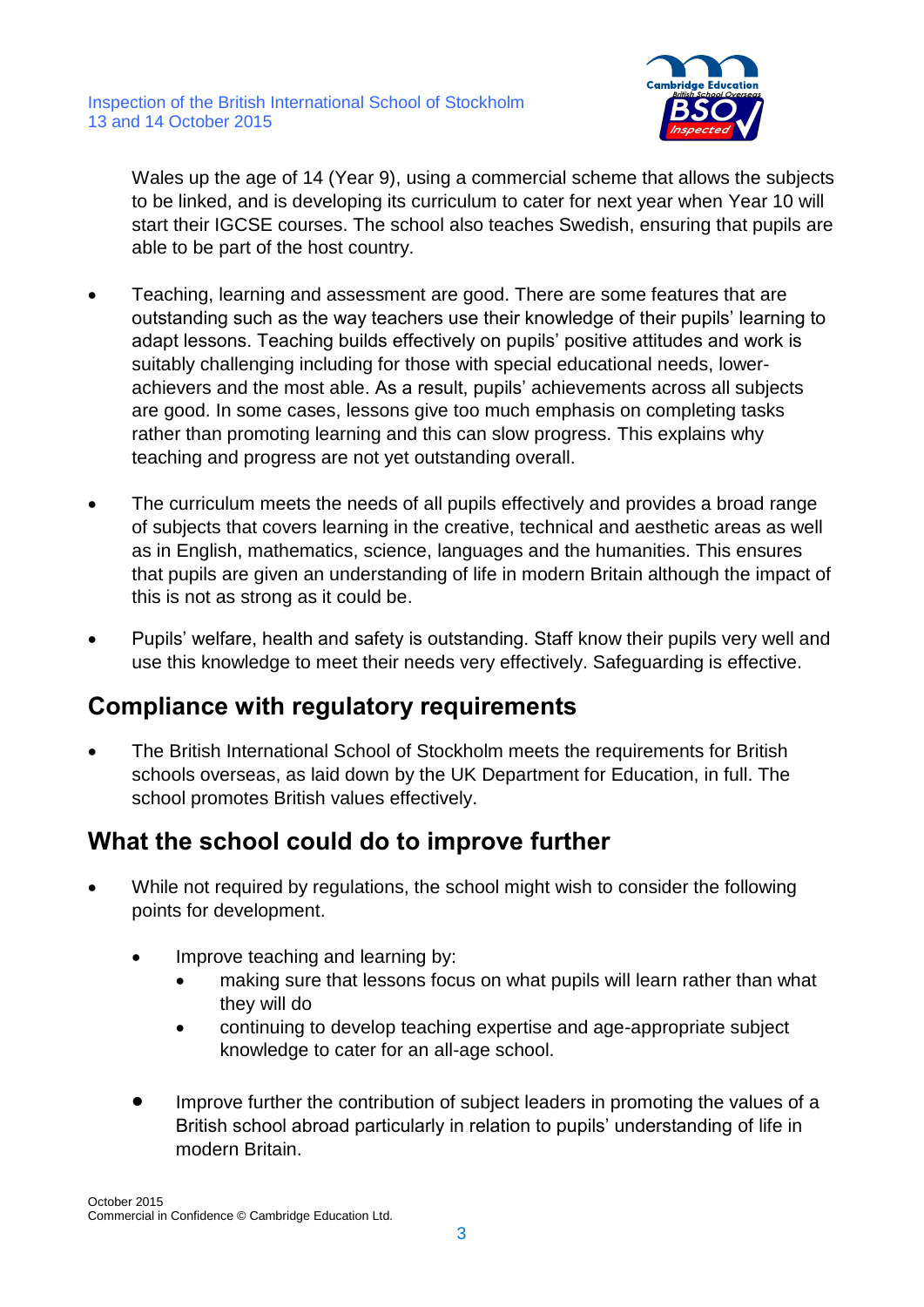

Wales up the age of 14 (Year 9), using a commercial scheme that allows the subjects to be linked, and is developing its curriculum to cater for next year when Year 10 will start their IGCSE courses. The school also teaches Swedish, ensuring that pupils are able to be part of the host country.

- Teaching, learning and assessment are good. There are some features that are outstanding such as the way teachers use their knowledge of their pupils' learning to adapt lessons. Teaching builds effectively on pupils' positive attitudes and work is suitably challenging including for those with special educational needs, lowerachievers and the most able. As a result, pupils' achievements across all subjects are good. In some cases, lessons give too much emphasis on completing tasks rather than promoting learning and this can slow progress. This explains why teaching and progress are not yet outstanding overall.
- The curriculum meets the needs of all pupils effectively and provides a broad range of subjects that covers learning in the creative, technical and aesthetic areas as well as in English, mathematics, science, languages and the humanities. This ensures that pupils are given an understanding of life in modern Britain although the impact of this is not as strong as it could be.
- Pupils' welfare, health and safety is outstanding. Staff know their pupils very well and use this knowledge to meet their needs very effectively. Safeguarding is effective.

## **Compliance with regulatory requirements**

 The British International School of Stockholm meets the requirements for British schools overseas, as laid down by the UK Department for Education, in full. The school promotes British values effectively.

## **What the school could do to improve further**

- While not required by regulations, the school might wish to consider the following points for development.
	- Improve teaching and learning by:
		- making sure that lessons focus on what pupils will learn rather than what they will do
		- continuing to develop teaching expertise and age-appropriate subject knowledge to cater for an all-age school.
	- Improve further the contribution of subject leaders in promoting the values of a British school abroad particularly in relation to pupils' understanding of life in modern Britain.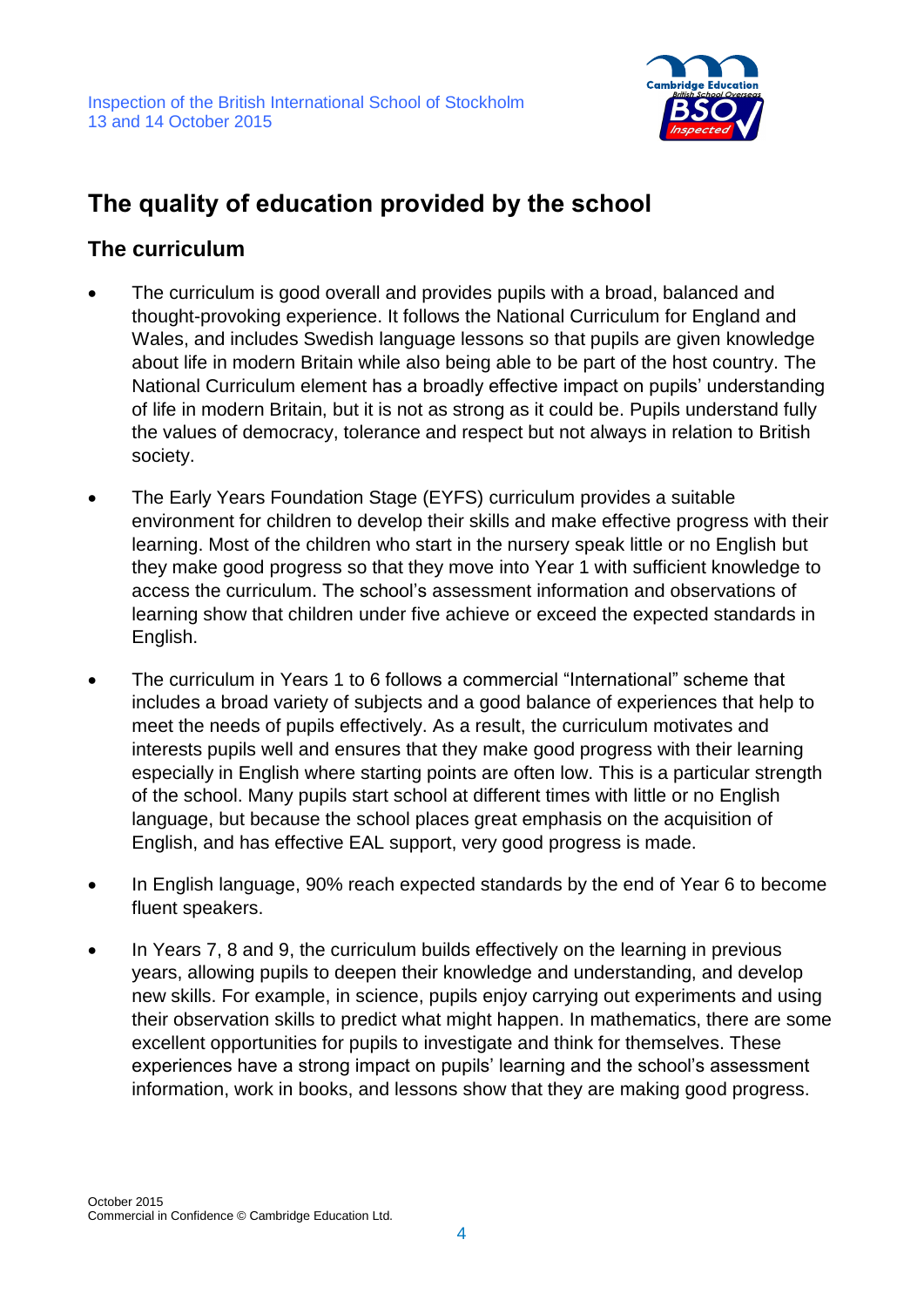

# **The quality of education provided by the school**

#### **The curriculum**

- The curriculum is good overall and provides pupils with a broad, balanced and thought-provoking experience. It follows the National Curriculum for England and Wales, and includes Swedish language lessons so that pupils are given knowledge about life in modern Britain while also being able to be part of the host country. The National Curriculum element has a broadly effective impact on pupils' understanding of life in modern Britain, but it is not as strong as it could be. Pupils understand fully the values of democracy, tolerance and respect but not always in relation to British society.
- The Early Years Foundation Stage (EYFS) curriculum provides a suitable environment for children to develop their skills and make effective progress with their learning. Most of the children who start in the nursery speak little or no English but they make good progress so that they move into Year 1 with sufficient knowledge to access the curriculum. The school's assessment information and observations of learning show that children under five achieve or exceed the expected standards in English.
- The curriculum in Years 1 to 6 follows a commercial "International" scheme that includes a broad variety of subjects and a good balance of experiences that help to meet the needs of pupils effectively. As a result, the curriculum motivates and interests pupils well and ensures that they make good progress with their learning especially in English where starting points are often low. This is a particular strength of the school. Many pupils start school at different times with little or no English language, but because the school places great emphasis on the acquisition of English, and has effective EAL support, very good progress is made.
- In English language, 90% reach expected standards by the end of Year 6 to become fluent speakers.
- In Years 7, 8 and 9, the curriculum builds effectively on the learning in previous years, allowing pupils to deepen their knowledge and understanding, and develop new skills. For example, in science, pupils enjoy carrying out experiments and using their observation skills to predict what might happen. In mathematics, there are some excellent opportunities for pupils to investigate and think for themselves. These experiences have a strong impact on pupils' learning and the school's assessment information, work in books, and lessons show that they are making good progress.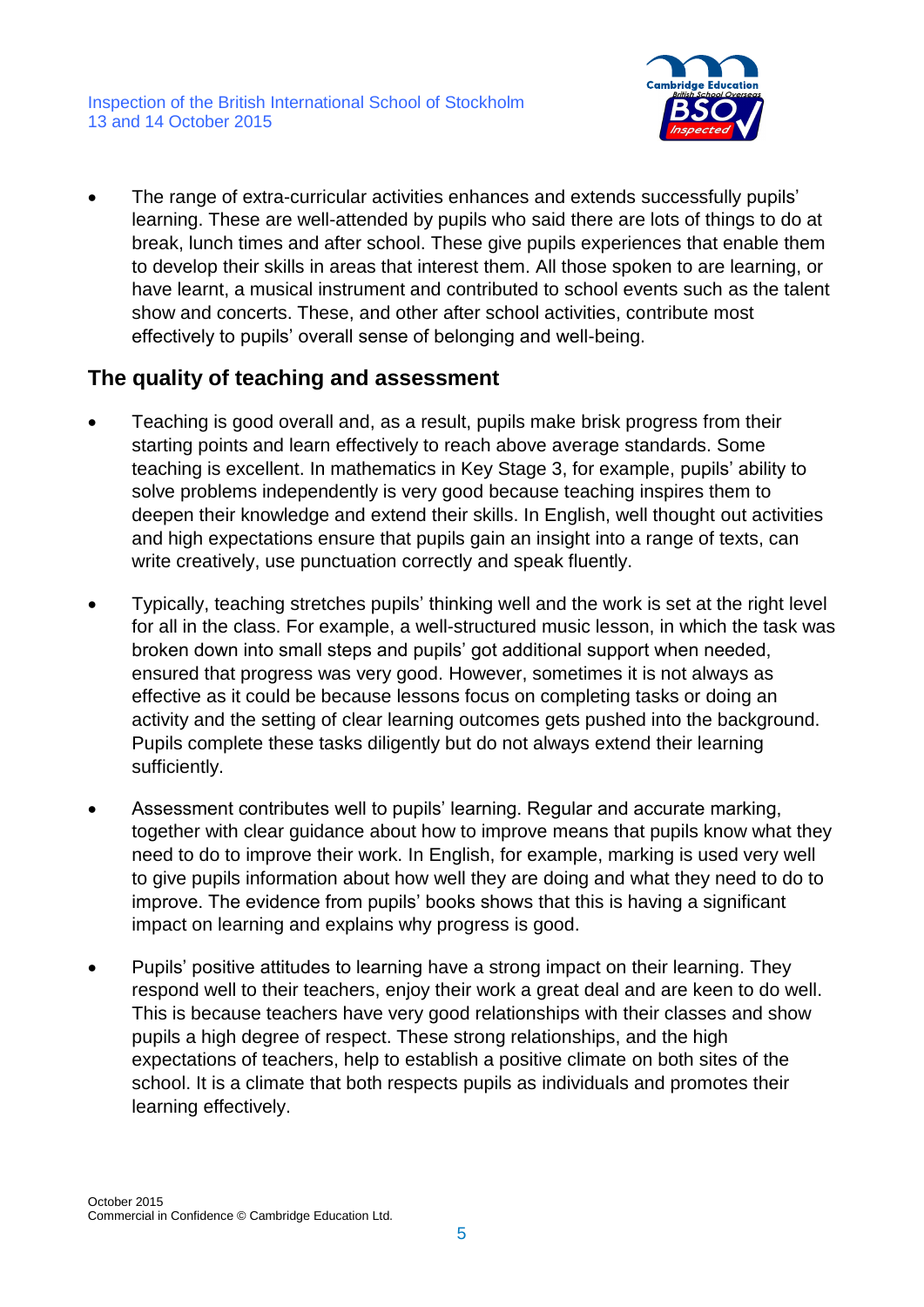

 The range of extra-curricular activities enhances and extends successfully pupils' learning. These are well-attended by pupils who said there are lots of things to do at break, lunch times and after school. These give pupils experiences that enable them to develop their skills in areas that interest them. All those spoken to are learning, or have learnt, a musical instrument and contributed to school events such as the talent show and concerts. These, and other after school activities, contribute most effectively to pupils' overall sense of belonging and well-being.

#### **The quality of teaching and assessment**

- Teaching is good overall and, as a result, pupils make brisk progress from their starting points and learn effectively to reach above average standards. Some teaching is excellent. In mathematics in Key Stage 3, for example, pupils' ability to solve problems independently is very good because teaching inspires them to deepen their knowledge and extend their skills. In English, well thought out activities and high expectations ensure that pupils gain an insight into a range of texts, can write creatively, use punctuation correctly and speak fluently.
- Typically, teaching stretches pupils' thinking well and the work is set at the right level for all in the class. For example, a well-structured music lesson, in which the task was broken down into small steps and pupils' got additional support when needed, ensured that progress was very good. However, sometimes it is not always as effective as it could be because lessons focus on completing tasks or doing an activity and the setting of clear learning outcomes gets pushed into the background. Pupils complete these tasks diligently but do not always extend their learning sufficiently.
- Assessment contributes well to pupils' learning. Regular and accurate marking, together with clear guidance about how to improve means that pupils know what they need to do to improve their work. In English, for example, marking is used very well to give pupils information about how well they are doing and what they need to do to improve. The evidence from pupils' books shows that this is having a significant impact on learning and explains why progress is good.
- Pupils' positive attitudes to learning have a strong impact on their learning. They respond well to their teachers, enjoy their work a great deal and are keen to do well. This is because teachers have very good relationships with their classes and show pupils a high degree of respect. These strong relationships, and the high expectations of teachers, help to establish a positive climate on both sites of the school. It is a climate that both respects pupils as individuals and promotes their learning effectively.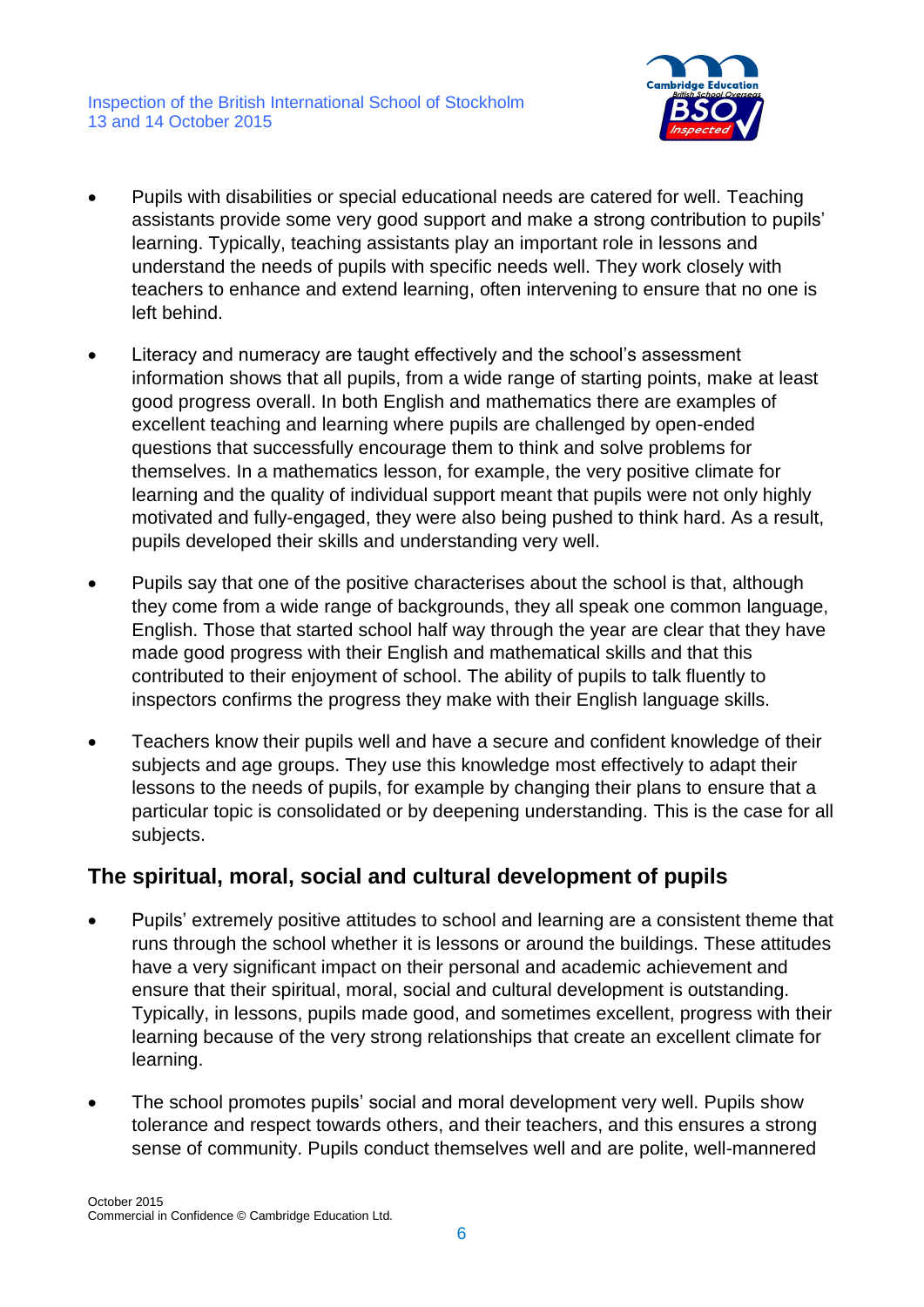

- Pupils with disabilities or special educational needs are catered for well. Teaching assistants provide some very good support and make a strong contribution to pupils' learning. Typically, teaching assistants play an important role in lessons and understand the needs of pupils with specific needs well. They work closely with teachers to enhance and extend learning, often intervening to ensure that no one is left behind.
- Literacy and numeracy are taught effectively and the school's assessment information shows that all pupils, from a wide range of starting points, make at least good progress overall. In both English and mathematics there are examples of excellent teaching and learning where pupils are challenged by open-ended questions that successfully encourage them to think and solve problems for themselves. In a mathematics lesson, for example, the very positive climate for learning and the quality of individual support meant that pupils were not only highly motivated and fully-engaged, they were also being pushed to think hard. As a result, pupils developed their skills and understanding very well.
- Pupils say that one of the positive characterises about the school is that, although they come from a wide range of backgrounds, they all speak one common language, English. Those that started school half way through the year are clear that they have made good progress with their English and mathematical skills and that this contributed to their enjoyment of school. The ability of pupils to talk fluently to inspectors confirms the progress they make with their English language skills.
- Teachers know their pupils well and have a secure and confident knowledge of their subjects and age groups. They use this knowledge most effectively to adapt their lessons to the needs of pupils, for example by changing their plans to ensure that a particular topic is consolidated or by deepening understanding. This is the case for all subjects.

#### **The spiritual, moral, social and cultural development of pupils**

- Pupils' extremely positive attitudes to school and learning are a consistent theme that runs through the school whether it is lessons or around the buildings. These attitudes have a very significant impact on their personal and academic achievement and ensure that their spiritual, moral, social and cultural development is outstanding. Typically, in lessons, pupils made good, and sometimes excellent, progress with their learning because of the very strong relationships that create an excellent climate for learning.
- The school promotes pupils' social and moral development very well. Pupils show tolerance and respect towards others, and their teachers, and this ensures a strong sense of community. Pupils conduct themselves well and are polite, well-mannered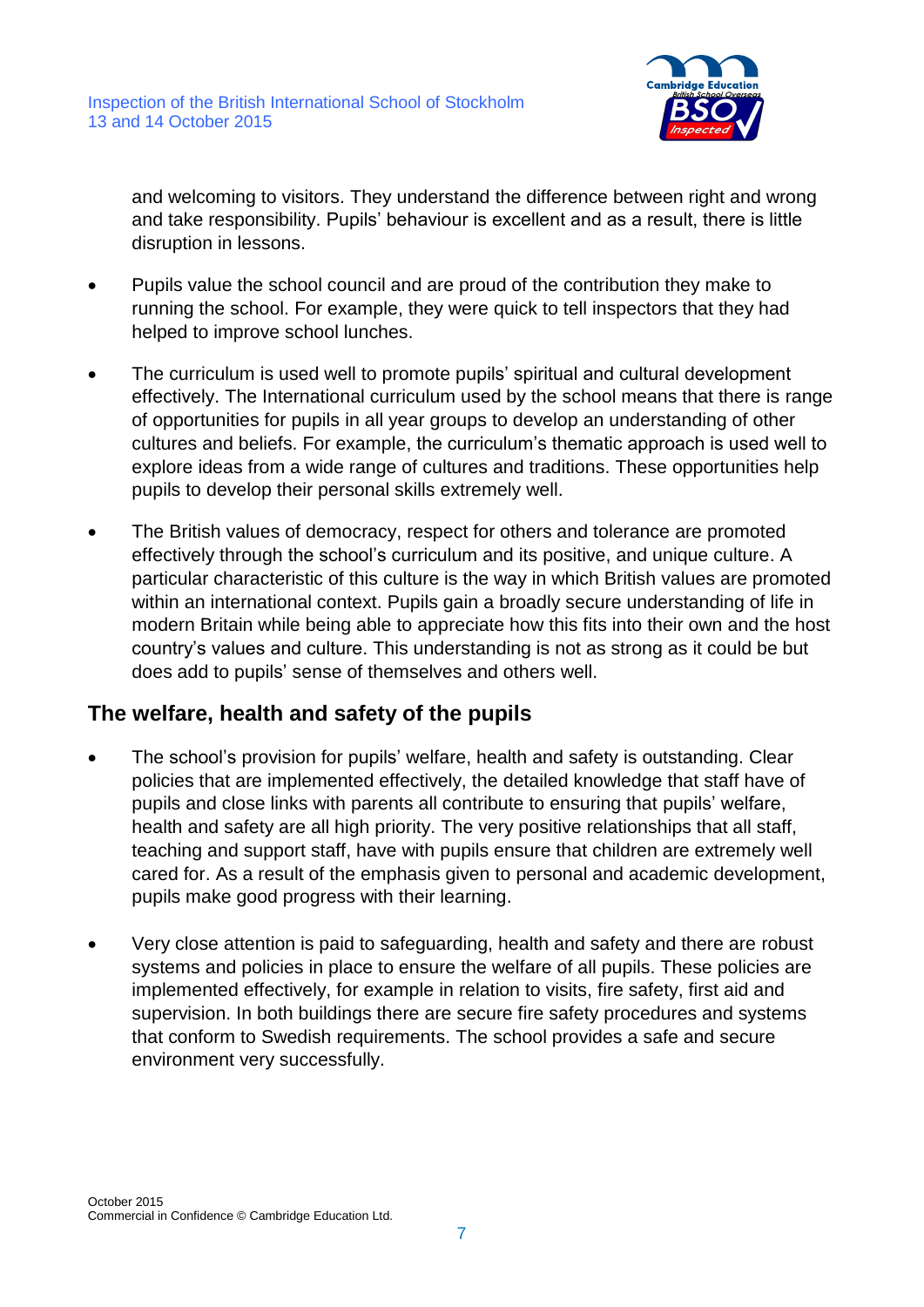

and welcoming to visitors. They understand the difference between right and wrong and take responsibility. Pupils' behaviour is excellent and as a result, there is little disruption in lessons.

- Pupils value the school council and are proud of the contribution they make to running the school. For example, they were quick to tell inspectors that they had helped to improve school lunches.
- The curriculum is used well to promote pupils' spiritual and cultural development effectively. The International curriculum used by the school means that there is range of opportunities for pupils in all year groups to develop an understanding of other cultures and beliefs. For example, the curriculum's thematic approach is used well to explore ideas from a wide range of cultures and traditions. These opportunities help pupils to develop their personal skills extremely well.
- The British values of democracy, respect for others and tolerance are promoted effectively through the school's curriculum and its positive, and unique culture. A particular characteristic of this culture is the way in which British values are promoted within an international context. Pupils gain a broadly secure understanding of life in modern Britain while being able to appreciate how this fits into their own and the host country's values and culture. This understanding is not as strong as it could be but does add to pupils' sense of themselves and others well.

#### **The welfare, health and safety of the pupils**

- The school's provision for pupils' welfare, health and safety is outstanding. Clear policies that are implemented effectively, the detailed knowledge that staff have of pupils and close links with parents all contribute to ensuring that pupils' welfare, health and safety are all high priority. The very positive relationships that all staff, teaching and support staff, have with pupils ensure that children are extremely well cared for. As a result of the emphasis given to personal and academic development, pupils make good progress with their learning.
- Very close attention is paid to safeguarding, health and safety and there are robust systems and policies in place to ensure the welfare of all pupils. These policies are implemented effectively, for example in relation to visits, fire safety, first aid and supervision. In both buildings there are secure fire safety procedures and systems that conform to Swedish requirements. The school provides a safe and secure environment very successfully.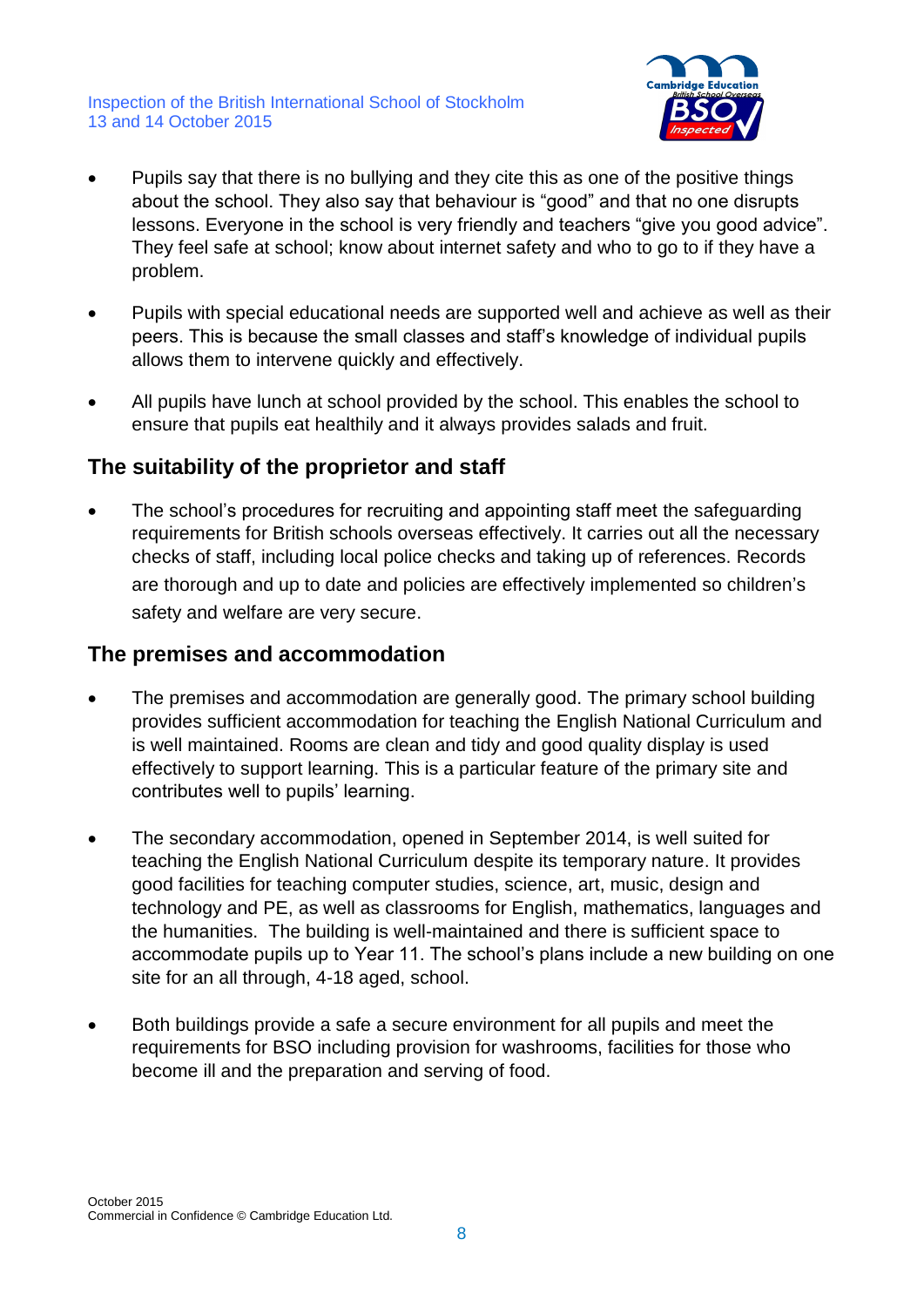

- Pupils say that there is no bullying and they cite this as one of the positive things about the school. They also say that behaviour is "good" and that no one disrupts lessons. Everyone in the school is very friendly and teachers "give you good advice". They feel safe at school; know about internet safety and who to go to if they have a problem.
- Pupils with special educational needs are supported well and achieve as well as their peers. This is because the small classes and staff's knowledge of individual pupils allows them to intervene quickly and effectively.
- All pupils have lunch at school provided by the school. This enables the school to ensure that pupils eat healthily and it always provides salads and fruit.

#### **The suitability of the proprietor and staff**

 The school's procedures for recruiting and appointing staff meet the safeguarding requirements for British schools overseas effectively. It carries out all the necessary checks of staff, including local police checks and taking up of references. Records are thorough and up to date and policies are effectively implemented so children's safety and welfare are very secure.

#### **The premises and accommodation**

- The premises and accommodation are generally good. The primary school building provides sufficient accommodation for teaching the English National Curriculum and is well maintained. Rooms are clean and tidy and good quality display is used effectively to support learning. This is a particular feature of the primary site and contributes well to pupils' learning.
- The secondary accommodation, opened in September 2014, is well suited for teaching the English National Curriculum despite its temporary nature. It provides good facilities for teaching computer studies, science, art, music, design and technology and PE, as well as classrooms for English, mathematics, languages and the humanities. The building is well-maintained and there is sufficient space to accommodate pupils up to Year 11. The school's plans include a new building on one site for an all through, 4-18 aged, school.
- Both buildings provide a safe a secure environment for all pupils and meet the requirements for BSO including provision for washrooms, facilities for those who become ill and the preparation and serving of food.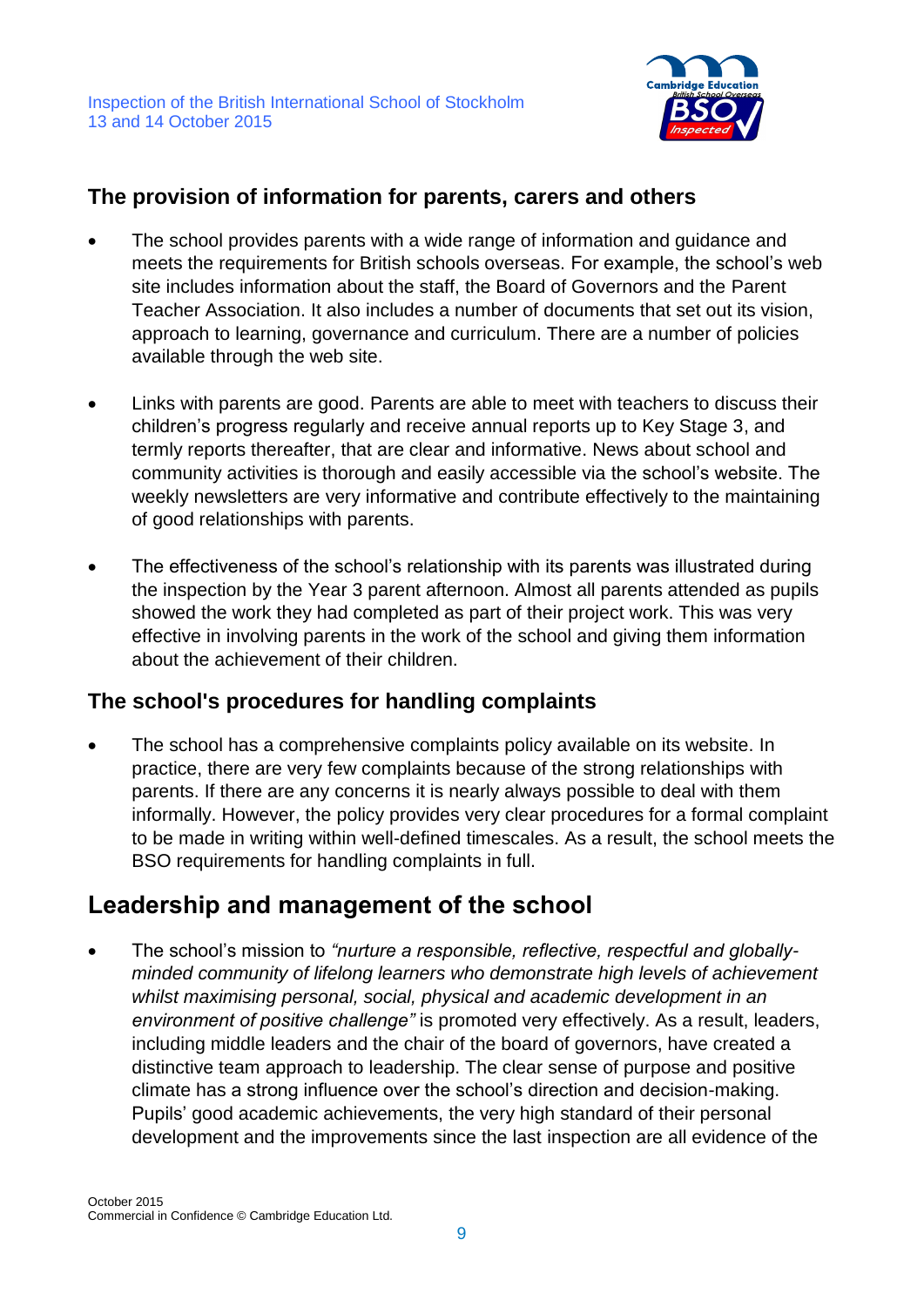

#### **The provision of information for parents, carers and others**

- The school provides parents with a wide range of information and guidance and meets the requirements for British schools overseas. For example, the school's web site includes information about the staff, the Board of Governors and the Parent Teacher Association. It also includes a number of documents that set out its vision, approach to learning, governance and curriculum. There are a number of policies available through the web site.
- Links with parents are good. Parents are able to meet with teachers to discuss their children's progress regularly and receive annual reports up to Key Stage 3, and termly reports thereafter, that are clear and informative. News about school and community activities is thorough and easily accessible via the school's website. The weekly newsletters are very informative and contribute effectively to the maintaining of good relationships with parents.
- The effectiveness of the school's relationship with its parents was illustrated during the inspection by the Year 3 parent afternoon. Almost all parents attended as pupils showed the work they had completed as part of their project work. This was very effective in involving parents in the work of the school and giving them information about the achievement of their children.

#### **The school's procedures for handling complaints**

• The school has a comprehensive complaints policy available on its website. In practice, there are very few complaints because of the strong relationships with parents. If there are any concerns it is nearly always possible to deal with them informally. However, the policy provides very clear procedures for a formal complaint to be made in writing within well-defined timescales. As a result, the school meets the BSO requirements for handling complaints in full.

## **Leadership and management of the school**

 The school's mission to *"nurture a responsible, reflective, respectful and globallyminded community of lifelong learners who demonstrate high levels of achievement whilst maximising personal, social, physical and academic development in an environment of positive challenge"* is promoted very effectively. As a result, leaders, including middle leaders and the chair of the board of governors, have created a distinctive team approach to leadership. The clear sense of purpose and positive climate has a strong influence over the school's direction and decision-making. Pupils' good academic achievements, the very high standard of their personal development and the improvements since the last inspection are all evidence of the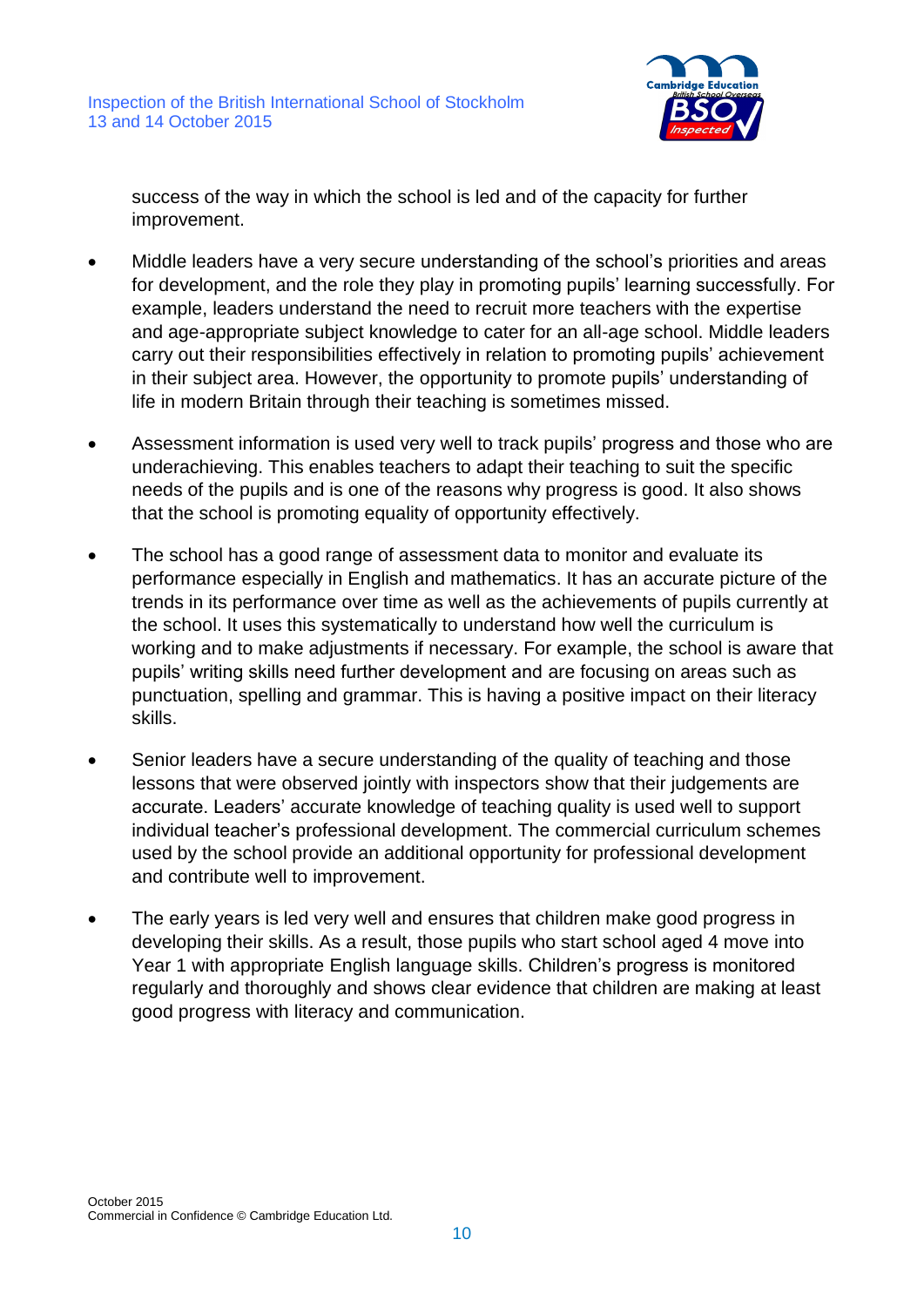

success of the way in which the school is led and of the capacity for further improvement.

- Middle leaders have a very secure understanding of the school's priorities and areas for development, and the role they play in promoting pupils' learning successfully. For example, leaders understand the need to recruit more teachers with the expertise and age-appropriate subject knowledge to cater for an all-age school. Middle leaders carry out their responsibilities effectively in relation to promoting pupils' achievement in their subject area. However, the opportunity to promote pupils' understanding of life in modern Britain through their teaching is sometimes missed.
- Assessment information is used very well to track pupils' progress and those who are underachieving. This enables teachers to adapt their teaching to suit the specific needs of the pupils and is one of the reasons why progress is good. It also shows that the school is promoting equality of opportunity effectively.
- The school has a good range of assessment data to monitor and evaluate its performance especially in English and mathematics. It has an accurate picture of the trends in its performance over time as well as the achievements of pupils currently at the school. It uses this systematically to understand how well the curriculum is working and to make adjustments if necessary. For example, the school is aware that pupils' writing skills need further development and are focusing on areas such as punctuation, spelling and grammar. This is having a positive impact on their literacy skills.
- Senior leaders have a secure understanding of the quality of teaching and those lessons that were observed jointly with inspectors show that their judgements are accurate. Leaders' accurate knowledge of teaching quality is used well to support individual teacher's professional development. The commercial curriculum schemes used by the school provide an additional opportunity for professional development and contribute well to improvement.
- The early years is led very well and ensures that children make good progress in developing their skills. As a result, those pupils who start school aged 4 move into Year 1 with appropriate English language skills. Children's progress is monitored regularly and thoroughly and shows clear evidence that children are making at least good progress with literacy and communication.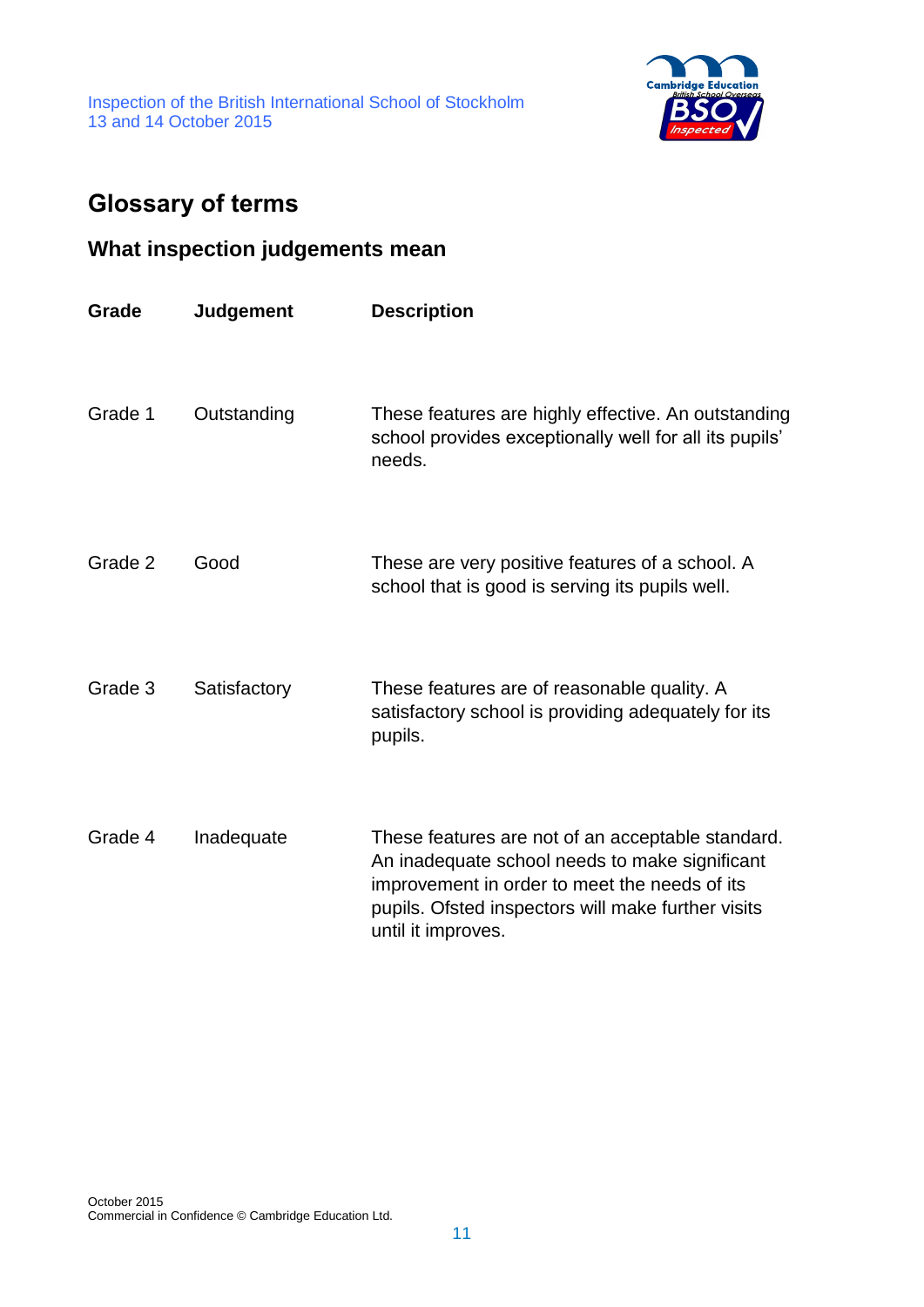

# **Glossary of terms**

## **What inspection judgements mean**

| Grade   | <b>Judgement</b> | <b>Description</b>                                                                                                                                                                                                               |
|---------|------------------|----------------------------------------------------------------------------------------------------------------------------------------------------------------------------------------------------------------------------------|
| Grade 1 | Outstanding      | These features are highly effective. An outstanding<br>school provides exceptionally well for all its pupils'<br>needs.                                                                                                          |
| Grade 2 | Good             | These are very positive features of a school. A<br>school that is good is serving its pupils well.                                                                                                                               |
| Grade 3 | Satisfactory     | These features are of reasonable quality. A<br>satisfactory school is providing adequately for its<br>pupils.                                                                                                                    |
| Grade 4 | Inadequate       | These features are not of an acceptable standard.<br>An inadequate school needs to make significant<br>improvement in order to meet the needs of its<br>pupils. Ofsted inspectors will make further visits<br>until it improves. |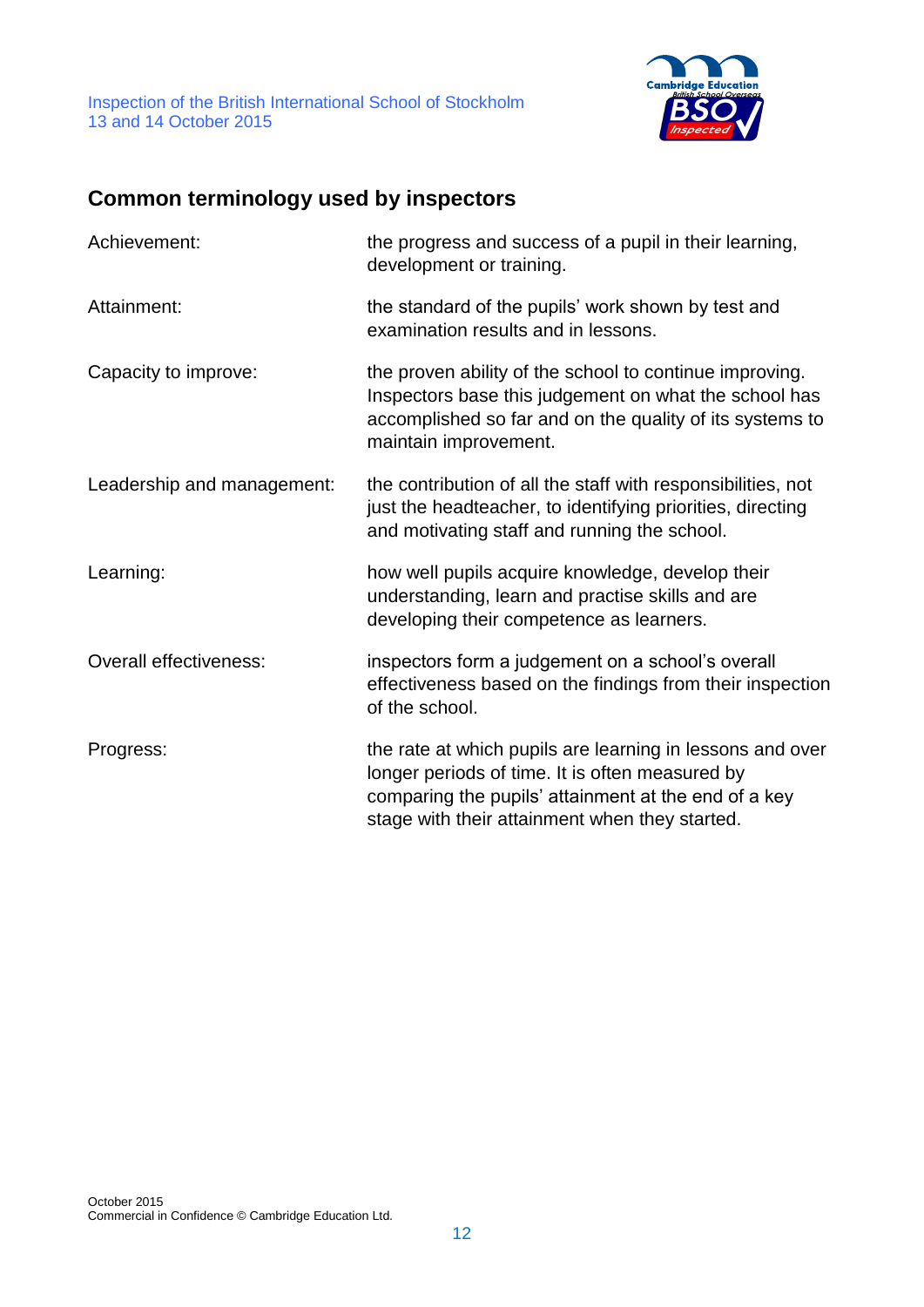

## **Common terminology used by inspectors**

| Achievement:                  | the progress and success of a pupil in their learning,<br>development or training.                                                                                                                                     |
|-------------------------------|------------------------------------------------------------------------------------------------------------------------------------------------------------------------------------------------------------------------|
| Attainment:                   | the standard of the pupils' work shown by test and<br>examination results and in lessons.                                                                                                                              |
| Capacity to improve:          | the proven ability of the school to continue improving.<br>Inspectors base this judgement on what the school has<br>accomplished so far and on the quality of its systems to<br>maintain improvement.                  |
| Leadership and management:    | the contribution of all the staff with responsibilities, not<br>just the headteacher, to identifying priorities, directing<br>and motivating staff and running the school.                                             |
| Learning:                     | how well pupils acquire knowledge, develop their<br>understanding, learn and practise skills and are<br>developing their competence as learners.                                                                       |
| <b>Overall effectiveness:</b> | inspectors form a judgement on a school's overall<br>effectiveness based on the findings from their inspection<br>of the school.                                                                                       |
| Progress:                     | the rate at which pupils are learning in lessons and over<br>longer periods of time. It is often measured by<br>comparing the pupils' attainment at the end of a key<br>stage with their attainment when they started. |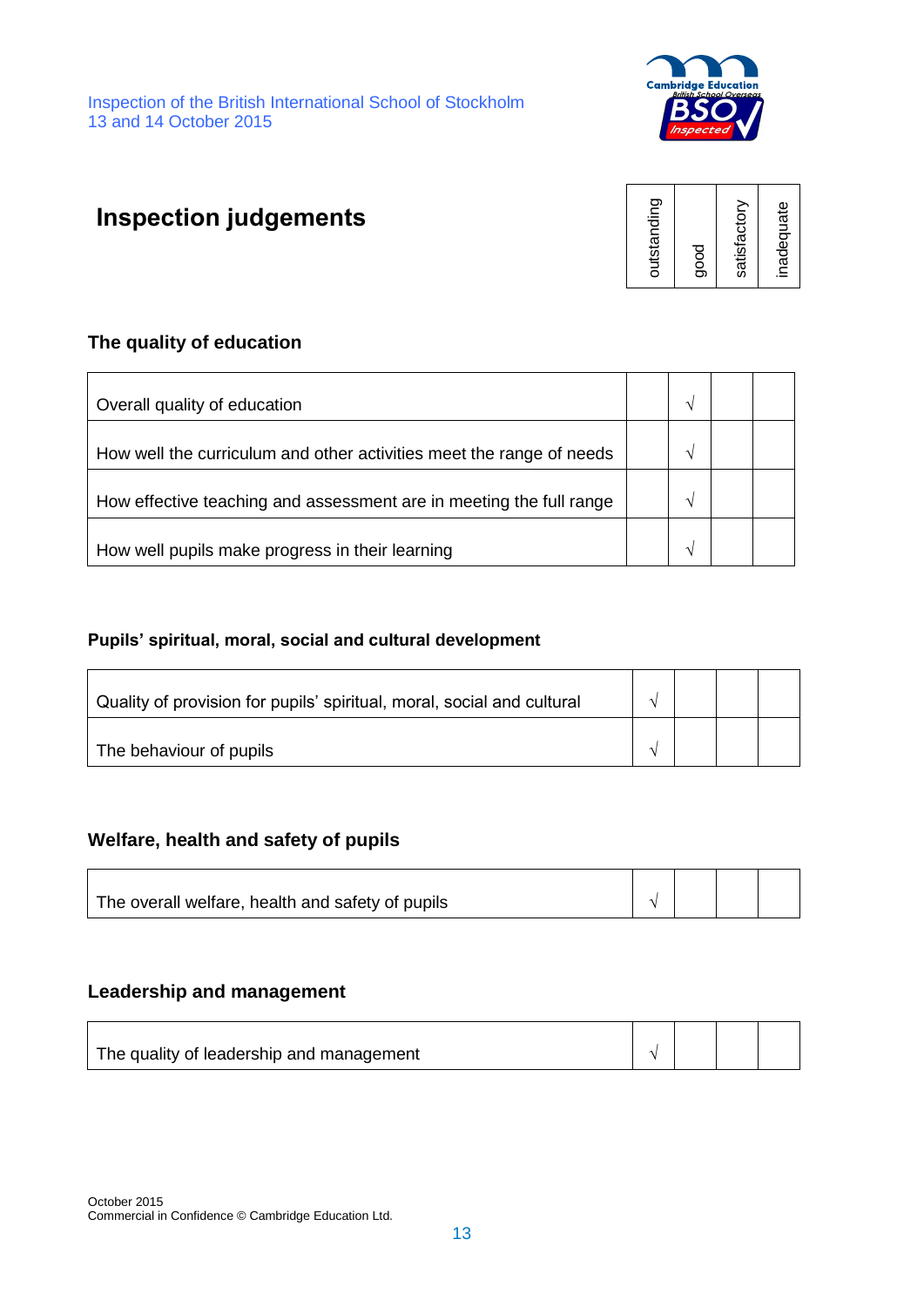

# **Inspection judgements**



#### **The quality of education**

| Overall quality of education                                         |  |  |
|----------------------------------------------------------------------|--|--|
| How well the curriculum and other activities meet the range of needs |  |  |
| How effective teaching and assessment are in meeting the full range  |  |  |
| How well pupils make progress in their learning                      |  |  |

#### **Pupils' spiritual, moral, social and cultural development**

| Quality of provision for pupils' spiritual, moral, social and cultural |  |  |
|------------------------------------------------------------------------|--|--|
| The behaviour of pupils                                                |  |  |

#### **Welfare, health and safety of pupils**

| The overall welfare, health and safety of pupils |  |  |
|--------------------------------------------------|--|--|
|                                                  |  |  |

#### **Leadership and management**

| The quality of leadership and management |  |  |
|------------------------------------------|--|--|